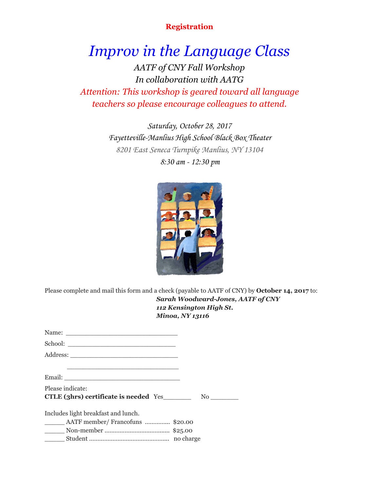## **Registration**

*Improv in the Language Class AATF of CNY Fall Workshop In collaboration with AATG Attention: This workshop is geared toward all language teachers so please encourage colleagues to attend.*

> Saturday, October 28, 2017 Fayetteville-Manlius High School Black Box Theater 8201 East Seneca Turnpike Manlius, NY 13104 8:30 am - 12:30 pm



Please complete and mail this form and a check (payable to AATF of CNY) by **October 14, 2017** to: *Sarah Woodward-Jones, AATF of CNY 112 Kensington High St. Minoa, NY 13116*

| <u> 1989 - Johann John Stein, markin sanadi a shekara ta 1989 - An tsa a shekara ta 1989 - An tsa a shekara tsa </u> |  |
|----------------------------------------------------------------------------------------------------------------------|--|
|                                                                                                                      |  |
| Please indicate:                                                                                                     |  |
|                                                                                                                      |  |
| Includes light breakfast and lunch.                                                                                  |  |
| _______ AATF member/ Francofuns  \$20.00                                                                             |  |
|                                                                                                                      |  |

| $\ldots$ . The model $\ldots$ . The contract of $\alpha$ is the contract of $\alpha$ is the contract of $\alpha$ |           |
|------------------------------------------------------------------------------------------------------------------|-----------|
|                                                                                                                  | no charge |